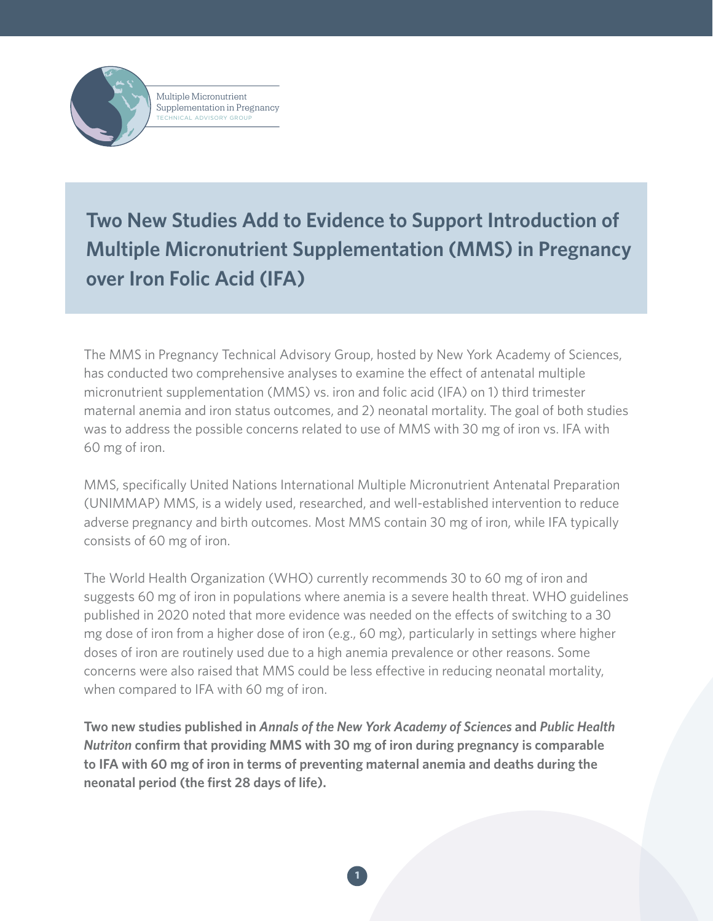Multiple Micronutrient Supplementation in Pregnancy TECHNICAL ADVISORY GROUP

**Two New Studies Add to Evidence to Support Introduction of Multiple Micronutrient Supplementation (MMS) in Pregnancy over Iron Folic Acid (IFA)**

The MMS in Pregnancy Technical Advisory Group, hosted by New York Academy of Sciences, has conducted two comprehensive analyses to examine the effect of antenatal multiple micronutrient supplementation (MMS) vs. iron and folic acid (IFA) on 1) third trimester maternal anemia and iron status outcomes, and 2) neonatal mortality. The goal of both studies was to address the possible concerns related to use of MMS with 30 mg of iron vs. IFA with 60 mg of iron.

MMS, specifically United Nations International Multiple Micronutrient Antenatal Preparation (UNIMMAP) MMS, is a widely used, researched, and well-established intervention to reduce adverse pregnancy and birth outcomes. Most MMS contain 30 mg of iron, while IFA typically consists of 60 mg of iron.

The World Health Organization (WHO) currently recommends 30 to 60 mg of iron and suggests 60 mg of iron in populations where anemia is a severe health threat. WHO guidelines published in 2020 noted that more evidence was needed on the effects of switching to a 30 mg dose of iron from a higher dose of iron (e.g., 60 mg), particularly in settings where higher doses of iron are routinely used due to a high anemia prevalence or other reasons. Some concerns were also raised that MMS could be less effective in reducing neonatal mortality, when compared to IFA with 60 mg of iron.

**Two new studies published in** *Annals of the New York Academy of Sciences* **and** *Public Health Nutriton* **confirm that providing MMS with 30 mg of iron during pregnancy is comparable to IFA with 60 mg of iron in terms of preventing maternal anemia and deaths during the neonatal period (the first 28 days of life).**

 **1**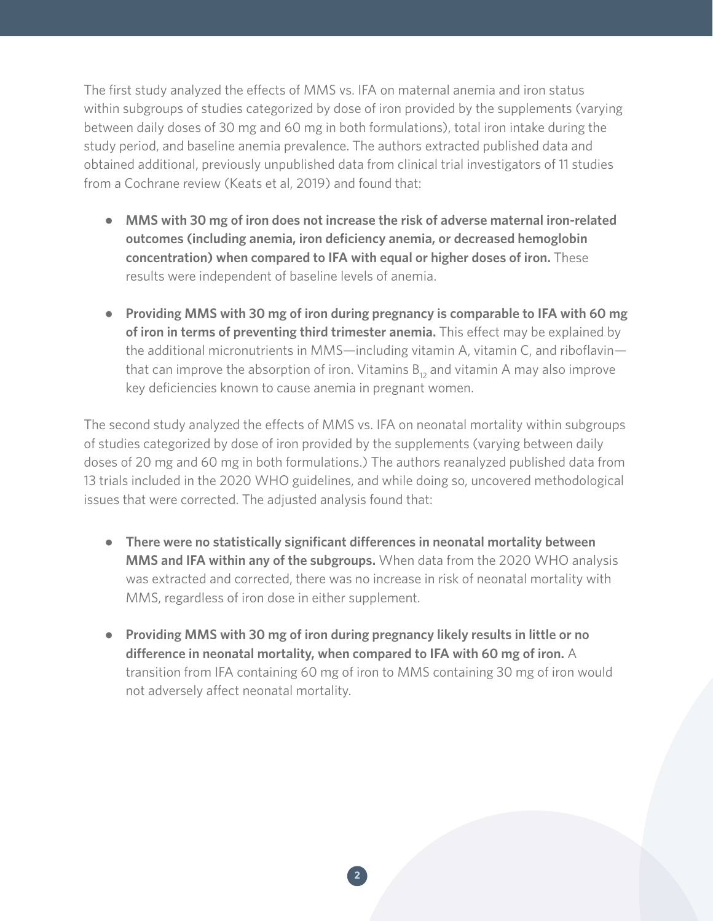The first study analyzed the effects of MMS vs. IFA on maternal anemia and iron status within subgroups of studies categorized by dose of iron provided by the supplements (varying between daily doses of 30 mg and 60 mg in both formulations), total iron intake during the study period, and baseline anemia prevalence. The authors extracted published data and obtained additional, previously unpublished data from clinical trial investigators of 11 studies from a Cochrane review (Keats et al, 2019) and found that:

- **MMS with 30 mg of iron does not increase the risk of adverse maternal iron-related outcomes (including anemia, iron deficiency anemia, or decreased hemoglobin concentration) when compared to IFA with equal or higher doses of iron.** These results were independent of baseline levels of anemia.
- **Providing MMS with 30 mg of iron during pregnancy is comparable to IFA with 60 mg of iron in terms of preventing third trimester anemia.** This effect may be explained by the additional micronutrients in MMS—including vitamin A, vitamin C, and riboflavin that can improve the absorption of iron. Vitamins  $B_{12}$  and vitamin A may also improve key deficiencies known to cause anemia in pregnant women.

The second study analyzed the effects of MMS vs. IFA on neonatal mortality within subgroups of studies categorized by dose of iron provided by the supplements (varying between daily doses of 20 mg and 60 mg in both formulations.) The authors reanalyzed published data from 13 trials included in the 2020 WHO guidelines, and while doing so, uncovered methodological issues that were corrected. The adjusted analysis found that:

- **There were no statistically significant differences in neonatal mortality between MMS and IFA within any of the subgroups.** When data from the 2020 WHO analysis was extracted and corrected, there was no increase in risk of neonatal mortality with MMS, regardless of iron dose in either supplement.
- **Providing MMS with 30 mg of iron during pregnancy likely results in little or no difference in neonatal mortality, when compared to IFA with 60 mg of iron.** A transition from IFA containing 60 mg of iron to MMS containing 30 mg of iron would not adversely affect neonatal mortality.

 **2**